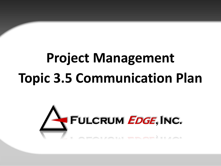# **Project Management Topic 3.5 Communication Plan**

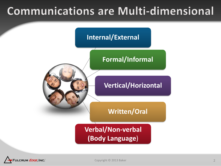### **Communications are Multi-dimensional**



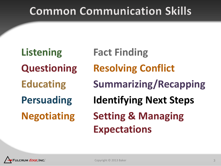### **Common Communication Skills**

**Listening Questioning Educating Persuading Negotiating Fact Finding Resolving Conflict Summarizing/Recapping Identifying Next Steps Setting & Managing Expectations**

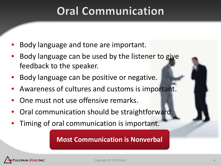### **Oral Communication**

- Body language and tone are important.
- Body language can be used by the listener to give feedback to the speaker.
- Body language can be positive or negative.
- Awareness of cultures and customs is important.
- One must not use offensive remarks.
- Oral communication should be straightforward.
- Timing of oral communication is important.

#### **Most Communication is Nonverbal**

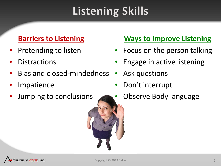# **Listening Skills**

#### **Barriers to Listening**

- Pretending to listen
- **Distractions**
- Bias and closed-mindedness
- **Impatience**
- Jumping to conclusions

#### **Ways to Improve Listening**

- Focus on the person talking
- Engage in active listening
- Ask questions
- Don't interrupt
- Observe Body language

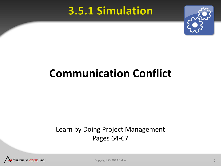### 3.5.1 Simulation



## **Communication Conflict**

#### Learn by Doing Project Management Pages 64-67



Copyright © 2013 Baker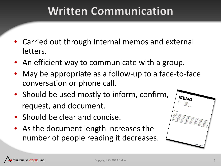### **Written Communication**

- Carried out through internal memos and external letters.
- An efficient way to communicate with a group.
- May be appropriate as a follow-up to a face-to-face conversation or phone call.
- Should be used mostly to inform, confirm, request, and document.
- Should be clear and concise.
- As the document length increases the number of people reading it decreases.



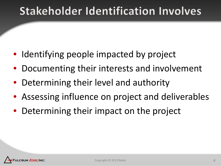### **Stakeholder Identification Involves**

- Identifying people impacted by project
- Documenting their interests and involvement
- Determining their level and authority
- Assessing influence on project and deliverables
- Determining their impact on the project

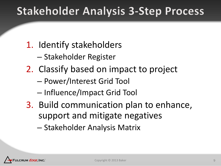### **Stakeholder Analysis 3-Step Process**

### 1. Identify stakeholders

- Stakeholder Register
- 2. Classify based on impact to project
	- Power/Interest Grid Tool
	- Influence/Impact Grid Tool
- 3. Build communication plan to enhance, support and mitigate negatives
	- Stakeholder Analysis Matrix

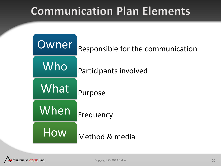### **Communication Plan Elements**

| Owner | Responsible for the communication |
|-------|-----------------------------------|
| Who   | Participants involved             |
| What  | Purpose                           |
| When  | Frequency                         |
| How   | Method & media                    |